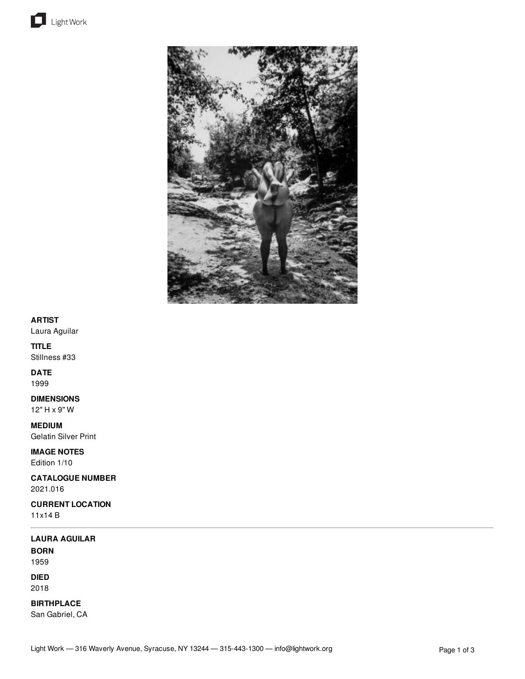



## **ARTIST**

Laura Aguilar

### **TITLE**

Stillness #33

# **DATE**

1999

### **DIMENSIONS**

12" H x 9" W

# **MEDIUM**

Gelatin Silver Print

**IMAGE NOTES** Edition 1/10

### **CATALOGUE NUMBER** 2021.016

**CURRENT LOCATION** 11x14 B

# **LAURA AGUILAR**

**BORN** 1959

# **DIED**

2018

# **BIRTHPLACE**

San Gabriel, CA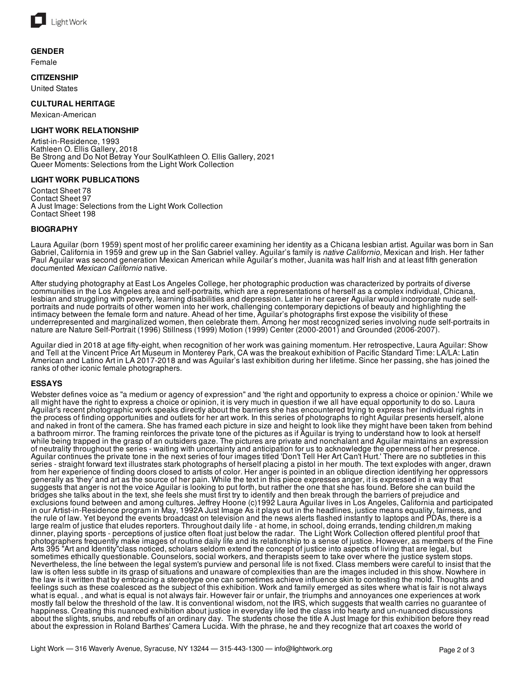

### **GENDER**

Female

### **CITIZENSHIP**

United States

### **CULTURAL HERITAGE**

Mexican-American

### **LIGHT WORK RELATIONSHIP**

Artist-in-Residence, 1993 Kathleen O. Ellis Gallery, 2018 Be Strong and Do Not Betray Your SoulKathleen O. Ellis Gallery, 2021 Queer Moments: Selections from the Light Work Collection

#### **LIGHT WORK PUBLICATIONS**

Contact Sheet 78 Contact Sheet 97 A Just Image: Selections from the Light Work Collection Contact Sheet 198

### **BIOGRAPHY**

Laura Aguilar (born 1959) spent most of her prolific career examining her identity as a Chicana lesbian artist. Aguilar was born in San Gabriel, California in 1959 and grew up in the San Gabriel valley. Aguilar's family is *native Californio,* Mexican and Irish. Her father Paul Aguilar was second generation Mexican American while Aguilar's mother, Juanita was half Irish and at least fifth generation documented *Mexican Californio* native.

After studying photography at East Los Angeles College, her photographic production was characterized by portraits of diverse communities in the Los Angeles area and self-portraits, which are a representations of herself as a complex individual, Chicana, lesbian and struggling with poverty, learning disabilities and depression. Later in her career Aguilar would incorporate nude selfportraits and nude portraits of other women into her work, challenging contemporary depictions of beauty and highlighting the intimacy between the female form and nature. Ahead of her time, Aguilar's photographs first expose the visibility of these underrepresented and marginalized women, then celebrate them. Among her most recognized series involving nude self-portraits in nature are Nature Self-Portrait (1996) Stillness (1999) Motion (1999) Center (2000-2001) and Grounded (2006-2007).

Aguilar died in 2018 at age fifty-eight, when recognition of her work was gaining momentum. Her retrospective, Laura Aguilar: Show and Tell at the Vincent Price Art Museum in Monterey Park, CA was the breakout exhibition of Pacific Standard Time: LA/LA: Latin American and Latino Art in LA 2017-2018 and was Aguilar's last exhibition during her lifetime. Since her passing, she has joined the ranks of other iconic female photographers.

### **ESSAYS**

Webster defines voice as "a medium or agency of expression" and 'the right and opportunity to express a choice or opinion.' While we all might have the right to express a choice or opinion, it is very much in question if we all have equal opportunity to do so. Laura Aguilar's recent photographic work speaks directly about the barriers she has encountered trying to express her individual rights in the process of finding opportunities and outlets for her art work. In this series of photographs to right Aguilar presents herself, alone and naked in front of the camera. She has framed each picture in size and height to look like they might have been taken from behind a bathroom mirror. The framing reinforces the private tone of the pictures as if Aguilar is trying to understand how to look at herself while being trapped in the grasp of an outsiders gaze. The pictures are private and nonchalant and Aguilar maintains an expression of neutrality throughout the series - waiting with uncertainty and anticipation for us to acknowledge the openness of her presence. Aguilar continues the private tone in the next series of four images titled 'Don't Tell Her Art Can't Hurt.' There are no subtleties in this series - straight forward text illustrates stark photographs of herself placing a pistol in her mouth. The text explodes with anger, drawn from her experience of finding doors closed to artists of color. Her anger is pointed in an oblique direction identifying her oppressors generally as 'they' and art as the source of her pain. While the text in this piece expresses anger, it is expressed in a way that suggests that anger is not the voice Aguilar is looking to put forth, but rather the one that she has found. Before she can build the bridges she talks about in the text, she feels she must first try to identify and then break through the barriers of prejudice and exclusions found between and among cultures. Jeffrey Hoone (c)1992 Laura Aguilar lives in Los Angeles, California and participated in our Artist-in-Residence program in May, 1992A Just Image As it plays out in the headlines, justice means equality, fairness, and the rule of law. Yet beyond the events broadcast on television and the news alerts flashed instantly to laptops and PDAs, there is a large realm of justice that eludes reporters. Throughout daily life - at home, in school, doing errands, tending children,m making dinner, playing sports - perceptions of justice often float just below the radar. The Light Work Collection offered plentiful proof that photographers frequently make images of routine daily life and its relationship to a sense of justice. However, as members of the Fine Arts 395 "Art and Identity"class noticed, scholars seldom extend the concept of justice into aspects of living that are legal, but sometimes ethically questionable. Counselors, social workers, and therapists seem to take over where the justice system stops. Nevertheless, the line between the legal system's purview and personal life is not fixed. Class members were careful to insist that the law is often less subtle in its grasp of situations and unaware of complexities than are the images included in this show. Nowhere in the law is it written that by embracing a stereotype one can sometimes achieve influence skin to contesting the mold. Thoughts and feelings such as these coalesced as the subject of this exhibition. Work and family emerged as sites where what is fair is not always what is equal. , and what is equal is not always fair. However fair or unfair, the triumphs and annoyances one experiences at work mostly fall below the threshold of the law. It is conventional wisdom, not the IRS, which suggests that wealth carries no guarantee of happiness. Creating this nuanced exhibition about justice in everyday life led the class into hearty and un-nuanced discussions about the slights, snubs, and rebuffs of an ordinary day. The students chose the title A Just Image for this exhibition before they read about the expression in Roland Barthes' Camera Lucida. With the phrase, he and they recognize that art coaxes the world of